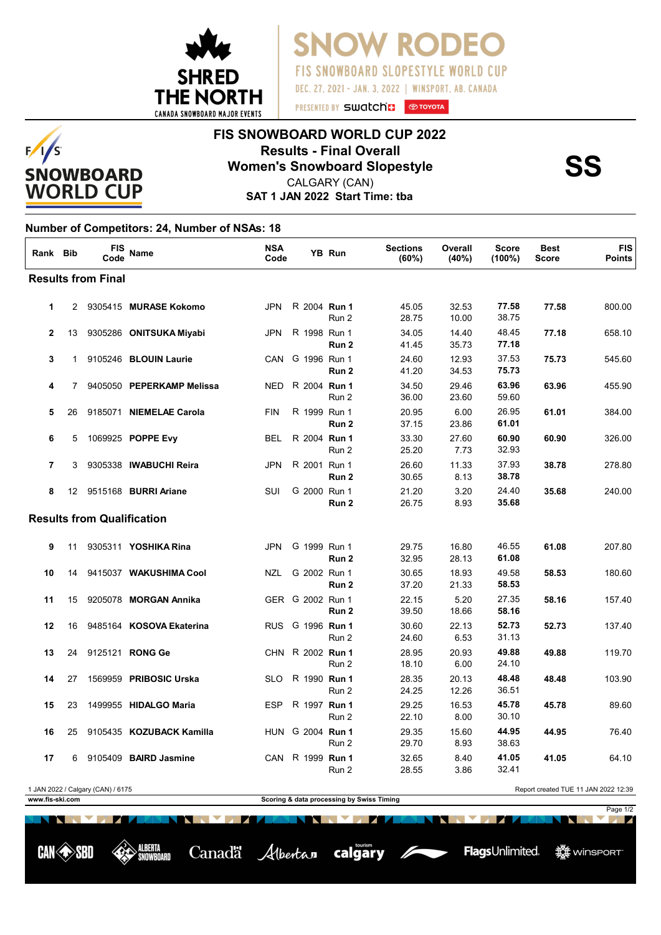

**SNOW RODE FIS SNOWBOARD SLOPESTYLE WORLD CUP** DEC. 27, 2021 - JAN. 3, 2022 | WINSPORT, AB. CANADA

## **FIS SNOWBOARD WORLD CUP 2022 Results - Final Overall<br>
Women's Snowboard Slopestyle<br>
CALGARY (CAN)**

**SAT 1 JAN 2022 Start Time: tba** CALGARY (CAN)

## **Number of Competitors: 24, Number of NSAs: 18**

 $F/I/S$ 

**SNOWBOARD WORLD CUP** 

| Rank                                                                      | Bib            | <b>FIS</b><br>Code | <b>Name</b>                    | <b>NSA</b><br>Code |                  | YB Run           | <b>Sections</b><br>(60%) | Overall<br>(40%) | Score<br>$(100\%)$ | <b>Best</b><br><b>Score</b> | <b>FIS</b><br>Points |  |
|---------------------------------------------------------------------------|----------------|--------------------|--------------------------------|--------------------|------------------|------------------|--------------------------|------------------|--------------------|-----------------------------|----------------------|--|
| <b>Results from Final</b>                                                 |                |                    |                                |                    |                  |                  |                          |                  |                    |                             |                      |  |
| $\mathbf{1}$                                                              | $\overline{2}$ |                    | 9305415 MURASE Kokomo          | <b>JPN</b>         | R 2004 Run 1     | Run 2            | 45.05<br>28.75           | 32.53<br>10.00   | 77.58<br>38.75     | 77.58                       | 800.00               |  |
| $\mathbf{2}$                                                              | 13             |                    | 9305286 ONITSUKA Miyabi        | JPN                | R 1998 Run 1     | Run 2            | 34.05<br>41.45           | 14.40<br>35.73   | 48.45<br>77.18     | 77.18                       | 658.10               |  |
| 3                                                                         | $\mathbf{1}$   |                    | 9105246 BLOUIN Laurie          | <b>CAN</b>         | G 1996 Run 1     | Run 2            | 24.60<br>41.20           | 12.93<br>34.53   | 37.53<br>75.73     | 75.73                       | 545.60               |  |
| 4                                                                         | 7              |                    | 9405050 PEPERKAMP Melissa      | <b>NED</b>         | R 2004 Run 1     | Run 2            | 34.50<br>36.00           | 29.46<br>23.60   | 63.96<br>59.60     | 63.96                       | 455.90               |  |
| 5                                                                         | 26             |                    | 9185071 NIEMELAE Carola        | <b>FIN</b>         | R 1999 Run 1     | Run <sub>2</sub> | 20.95<br>37.15           | 6.00<br>23.86    | 26.95<br>61.01     | 61.01                       | 384.00               |  |
| 6                                                                         | 5              |                    | 1069925 POPPE Evy              | <b>BEL</b>         | R 2004 Run 1     | Run 2            | 33.30<br>25.20           | 27.60<br>7.73    | 60.90<br>32.93     | 60.90                       | 326.00               |  |
| $\overline{7}$                                                            | 3              |                    | 9305338 IWABUCHI Reira         | <b>JPN</b>         | R 2001 Run 1     | Run 2            | 26.60<br>30.65           | 11.33<br>8.13    | 37.93<br>38.78     | 38.78                       | 278.80               |  |
| 8                                                                         |                |                    | 12 9515168 <b>BURRI Ariane</b> | SUI                | G 2000 Run 1     | Run 2            | 21.20<br>26.75           | 3.20<br>8.93     | 24.40<br>35.68     | 35.68                       | 240.00               |  |
| <b>Results from Qualification</b>                                         |                |                    |                                |                    |                  |                  |                          |                  |                    |                             |                      |  |
| 9                                                                         | 11             |                    | 9305311 <b>YOSHIKA Rina</b>    | <b>JPN</b>         | G 1999 Run 1     | Run <sub>2</sub> | 29.75<br>32.95           | 16.80<br>28.13   | 46.55<br>61.08     | 61.08                       | 207.80               |  |
| 10                                                                        | 14             |                    | 9415037 WAKUSHIMA Cool         | NZL                | G 2002 Run 1     | Run 2            | 30.65<br>37.20           | 18.93<br>21.33   | 49.58<br>58.53     | 58.53                       | 180.60               |  |
| 11                                                                        | 15             |                    | 9205078 MORGAN Annika          |                    | GER G 2002 Run 1 | Run 2            | 22.15<br>39.50           | 5.20<br>18.66    | 27.35<br>58.16     | 58.16                       | 157.40               |  |
| 12                                                                        | 16             |                    | 9485164 KOSOVA Ekaterina       | <b>RUS</b>         | G 1996 Run 1     | Run 2            | 30.60<br>24.60           | 22.13<br>6.53    | 52.73<br>31.13     | 52.73                       | 137.40               |  |
| 13                                                                        | 24             |                    | 9125121 RONG Ge                | CHN.               | R 2002 Run 1     | Run 2            | 28.95<br>18.10           | 20.93<br>6.00    | 49.88<br>24.10     | 49.88                       | 119.70               |  |
| 14                                                                        | 27             |                    | 1569959 PRIBOSIC Urska         | <b>SLO</b>         | R 1990 Run 1     | Run 2            | 28.35<br>24.25           | 20.13<br>12.26   | 48.48<br>36.51     | 48.48                       | 103.90               |  |
| 15                                                                        | 23             |                    | 1499955 HIDALGO Maria          | <b>ESP</b>         | R 1997 Run 1     | Run 2            | 29.25<br>22.10           | 16.53<br>8.00    | 45.78<br>30.10     | 45.78                       | 89.60                |  |
| 16                                                                        | 25             |                    | 9105435 KOZUBACK Kamilla       |                    | HUN G 2004 Run 1 | Run 2            | 29.35<br>29.70           | 15.60<br>8.93    | 44.95<br>38.63     | 44.95                       | 76.40                |  |
| 17                                                                        | 6              |                    | 9105409 BAIRD Jasmine          | CAN                | R 1999 Run 1     | Run 2            | 32.65<br>28.55           | 8.40<br>3.86     | 41.05<br>32.41     | 41.05                       | 64.10                |  |
| 1 JAN 2022 / Calgary (CAN) / 6175<br>Report created TUE 11 JAN 2022 12:39 |                |                    |                                |                    |                  |                  |                          |                  |                    |                             |                      |  |